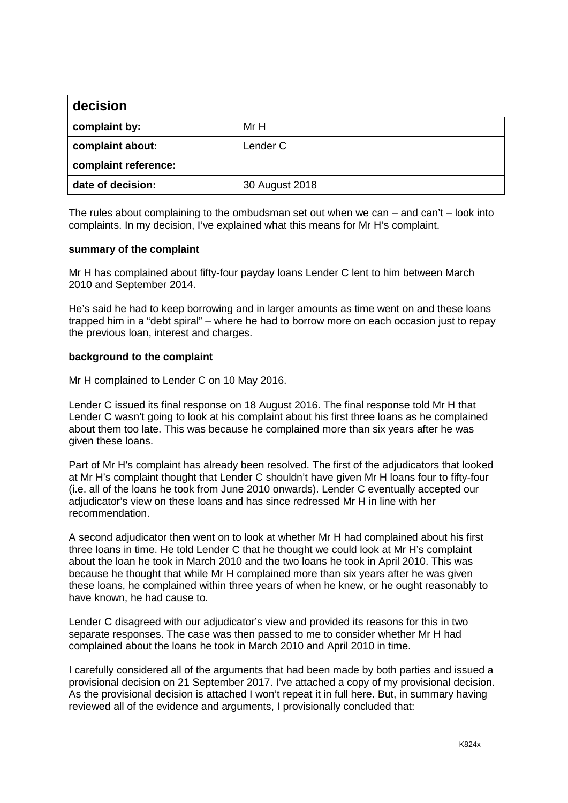| decision             |                |
|----------------------|----------------|
| complaint by:        | Mr H           |
| complaint about:     | Lender C       |
| complaint reference: |                |
| date of decision:    | 30 August 2018 |

The rules about complaining to the ombudsman set out when we can – and can't – look into complaints. In my decision, I've explained what this means for Mr H's complaint.

#### **summary of the complaint**

Mr H has complained about fifty-four payday loans Lender C lent to him between March 2010 and September 2014.

He's said he had to keep borrowing and in larger amounts as time went on and these loans trapped him in a "debt spiral" – where he had to borrow more on each occasion just to repay the previous loan, interest and charges.

## **background to the complaint**

Mr H complained to Lender C on 10 May 2016.

Lender C issued its final response on 18 August 2016. The final response told Mr H that Lender C wasn't going to look at his complaint about his first three loans as he complained about them too late. This was because he complained more than six years after he was given these loans.

Part of Mr H's complaint has already been resolved. The first of the adjudicators that looked at Mr H's complaint thought that Lender C shouldn't have given Mr H loans four to fifty-four (i.e. all of the loans he took from June 2010 onwards). Lender C eventually accepted our adjudicator's view on these loans and has since redressed Mr H in line with her recommendation.

A second adjudicator then went on to look at whether Mr H had complained about his first three loans in time. He told Lender C that he thought we could look at Mr H's complaint about the loan he took in March 2010 and the two loans he took in April 2010. This was because he thought that while Mr H complained more than six years after he was given these loans, he complained within three years of when he knew, or he ought reasonably to have known, he had cause to.

Lender C disagreed with our adjudicator's view and provided its reasons for this in two separate responses. The case was then passed to me to consider whether Mr H had complained about the loans he took in March 2010 and April 2010 in time.

I carefully considered all of the arguments that had been made by both parties and issued a provisional decision on 21 September 2017. I've attached a copy of my provisional decision. As the provisional decision is attached I won't repeat it in full here. But, in summary having reviewed all of the evidence and arguments, I provisionally concluded that: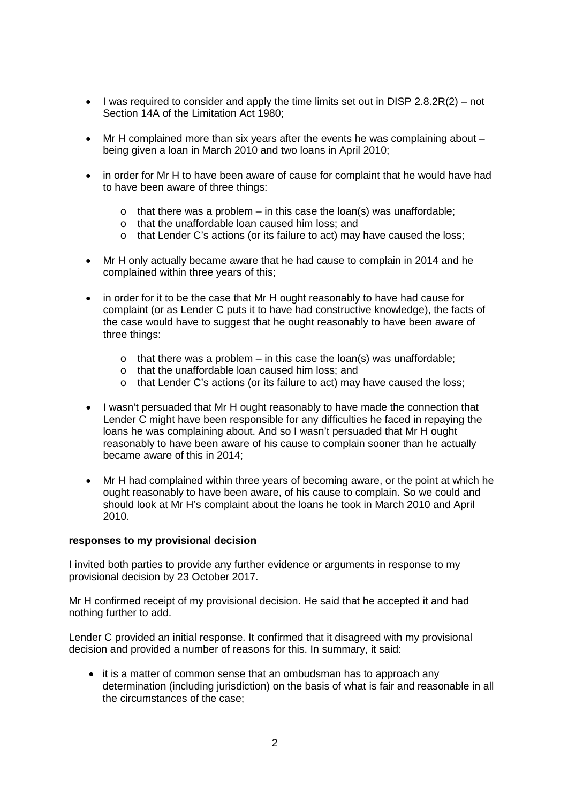- $\bullet$  l was required to consider and apply the time limits set out in DISP 2.8.2R(2) not Section 14A of the Limitation Act 1980;
- Mr H complained more than six years after the events he was complaining about being given a loan in March 2010 and two loans in April 2010;
- in order for Mr H to have been aware of cause for complaint that he would have had to have been aware of three things:
	- $\circ$  that there was a problem in this case the loan(s) was unaffordable;
	- o that the unaffordable loan caused him loss; and
	- o that Lender C's actions (or its failure to act) may have caused the loss;
- Mr H only actually became aware that he had cause to complain in 2014 and he complained within three years of this;
- in order for it to be the case that Mr H ought reasonably to have had cause for complaint (or as Lender C puts it to have had constructive knowledge), the facts of the case would have to suggest that he ought reasonably to have been aware of three things:
	- o that there was a problem in this case the loan(s) was unaffordable;
	- o that the unaffordable loan caused him loss; and
	- o that Lender C's actions (or its failure to act) may have caused the loss;
- I wasn't persuaded that Mr H ought reasonably to have made the connection that Lender C might have been responsible for any difficulties he faced in repaying the loans he was complaining about. And so I wasn't persuaded that Mr H ought reasonably to have been aware of his cause to complain sooner than he actually became aware of this in 2014;
- Mr H had complained within three years of becoming aware, or the point at which he ought reasonably to have been aware, of his cause to complain. So we could and should look at Mr H's complaint about the loans he took in March 2010 and April 2010.

#### **responses to my provisional decision**

I invited both parties to provide any further evidence or arguments in response to my provisional decision by 23 October 2017.

Mr H confirmed receipt of my provisional decision. He said that he accepted it and had nothing further to add.

Lender C provided an initial response. It confirmed that it disagreed with my provisional decision and provided a number of reasons for this. In summary, it said:

• it is a matter of common sense that an ombudsman has to approach any determination (including jurisdiction) on the basis of what is fair and reasonable in all the circumstances of the case;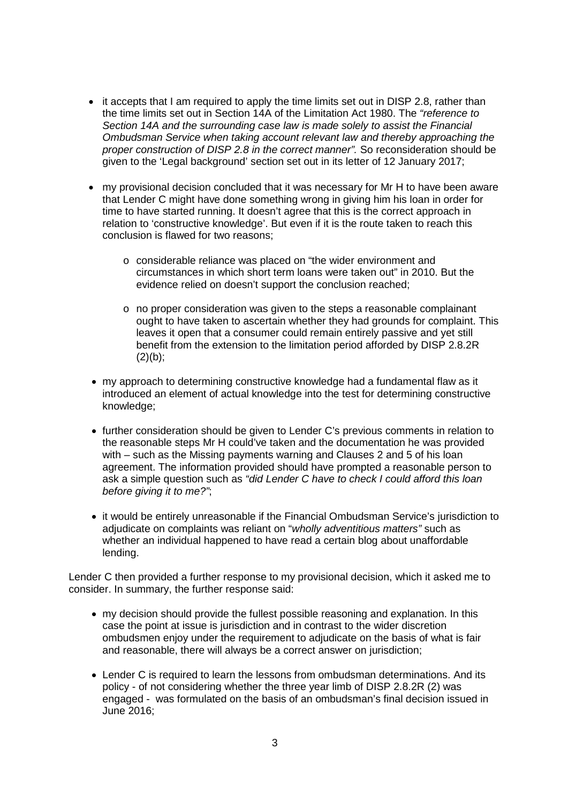- it accepts that I am required to apply the time limits set out in DISP 2.8, rather than the time limits set out in Section 14A of the Limitation Act 1980. The *"reference to Section 14A and the surrounding case law is made solely to assist the Financial Ombudsman Service when taking account relevant law and thereby approaching the proper construction of DISP 2.8 in the correct manner".* So reconsideration should be given to the 'Legal background' section set out in its letter of 12 January 2017;
- my provisional decision concluded that it was necessary for Mr H to have been aware that Lender C might have done something wrong in giving him his loan in order for time to have started running. It doesn't agree that this is the correct approach in relation to 'constructive knowledge'. But even if it is the route taken to reach this conclusion is flawed for two reasons;
	- o considerable reliance was placed on "the wider environment and circumstances in which short term loans were taken out" in 2010. But the evidence relied on doesn't support the conclusion reached;
	- o no proper consideration was given to the steps a reasonable complainant ought to have taken to ascertain whether they had grounds for complaint. This leaves it open that a consumer could remain entirely passive and yet still benefit from the extension to the limitation period afforded by DISP 2.8.2R  $(2)(b)$ ;
- my approach to determining constructive knowledge had a fundamental flaw as it introduced an element of actual knowledge into the test for determining constructive knowledge;
- further consideration should be given to Lender C's previous comments in relation to the reasonable steps Mr H could've taken and the documentation he was provided with – such as the Missing payments warning and Clauses 2 and 5 of his loan agreement. The information provided should have prompted a reasonable person to ask a simple question such as *"did Lender C have to check I could afford this loan before giving it to me?"*;
- it would be entirely unreasonable if the Financial Ombudsman Service's jurisdiction to adjudicate on complaints was reliant on "*wholly adventitious matters"* such as whether an individual happened to have read a certain blog about unaffordable lending.

Lender C then provided a further response to my provisional decision, which it asked me to consider. In summary, the further response said:

- my decision should provide the fullest possible reasoning and explanation. In this case the point at issue is jurisdiction and in contrast to the wider discretion ombudsmen enjoy under the requirement to adjudicate on the basis of what is fair and reasonable, there will always be a correct answer on jurisdiction;
- Lender C is required to learn the lessons from ombudsman determinations. And its policy - of not considering whether the three year limb of DISP 2.8.2R (2) was engaged - was formulated on the basis of an ombudsman's final decision issued in June 2016;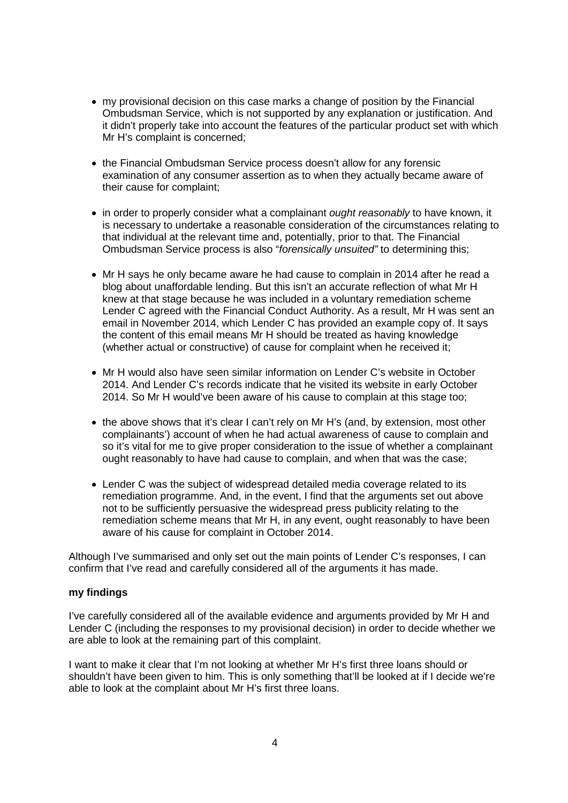- my provisional decision on this case marks a change of position by the Financial Ombudsman Service, which is not supported by any explanation or justification. And it didn't properly take into account the features of the particular product set with which Mr H's complaint is concerned;
- the Financial Ombudsman Service process doesn't allow for any forensic examination of any consumer assertion as to when they actually became aware of their cause for complaint;
- in order to properly consider what a complainant *ought reasonably* to have known, it is necessary to undertake a reasonable consideration of the circumstances relating to that individual at the relevant time and, potentially, prior to that. The Financial Ombudsman Service process is also "*forensically unsuited"* to determining this;
- Mr H says he only became aware he had cause to complain in 2014 after he read a blog about unaffordable lending. But this isn't an accurate reflection of what Mr H knew at that stage because he was included in a voluntary remediation scheme Lender C agreed with the Financial Conduct Authority. As a result, Mr H was sent an email in November 2014, which Lender C has provided an example copy of. It says the content of this email means Mr H should be treated as having knowledge (whether actual or constructive) of cause for complaint when he received it;
- Mr H would also have seen similar information on Lender C's website in October 2014. And Lender C's records indicate that he visited its website in early October 2014. So Mr H would've been aware of his cause to complain at this stage too;
- the above shows that it's clear I can't rely on Mr H's (and, by extension, most other complainants') account of when he had actual awareness of cause to complain and so it's vital for me to give proper consideration to the issue of whether a complainant ought reasonably to have had cause to complain, and when that was the case;
- Lender C was the subject of widespread detailed media coverage related to its remediation programme. And, in the event, I find that the arguments set out above not to be sufficiently persuasive the widespread press publicity relating to the remediation scheme means that Mr H, in any event, ought reasonably to have been aware of his cause for complaint in October 2014.

Although I've summarised and only set out the main points of Lender C's responses, I can confirm that I've read and carefully considered all of the arguments it has made.

#### **my findings**

I've carefully considered all of the available evidence and arguments provided by Mr H and Lender C (including the responses to my provisional decision) in order to decide whether we are able to look at the remaining part of this complaint.

I want to make it clear that I'm not looking at whether Mr H's first three loans should or shouldn't have been given to him. This is only something that'll be looked at if I decide we're able to look at the complaint about Mr H's first three loans.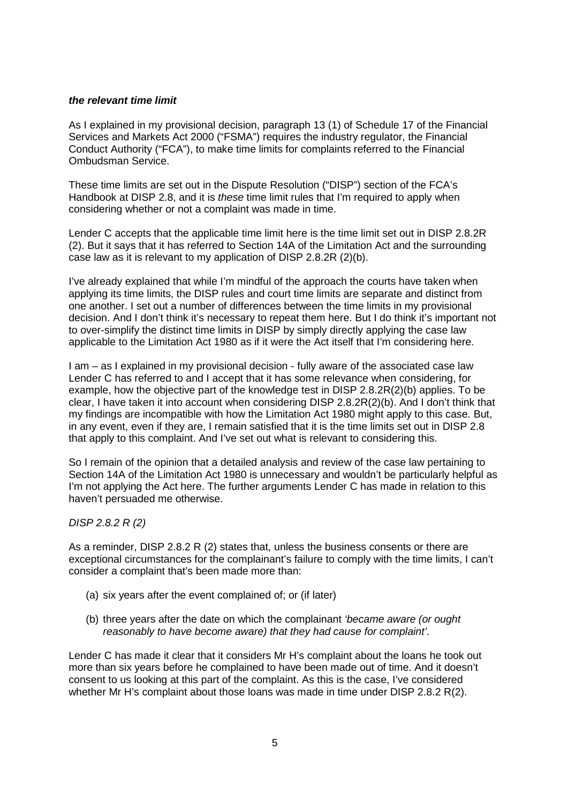## *the relevant time limit*

As I explained in my provisional decision, paragraph 13 (1) of Schedule 17 of the Financial Services and Markets Act 2000 ("FSMA") requires the industry regulator, the Financial Conduct Authority ("FCA"), to make time limits for complaints referred to the Financial Ombudsman Service.

These time limits are set out in the Dispute Resolution ("DISP") section of the FCA's Handbook at DISP 2.8, and it is *these* time limit rules that I'm required to apply when considering whether or not a complaint was made in time.

Lender C accepts that the applicable time limit here is the time limit set out in DISP 2.8.2R (2). But it says that it has referred to Section 14A of the Limitation Act and the surrounding case law as it is relevant to my application of DISP 2.8.2R (2)(b).

I've already explained that while I'm mindful of the approach the courts have taken when applying its time limits, the DISP rules and court time limits are separate and distinct from one another. I set out a number of differences between the time limits in my provisional decision. And I don't think it's necessary to repeat them here. But I do think it's important not to over-simplify the distinct time limits in DISP by simply directly applying the case law applicable to the Limitation Act 1980 as if it were the Act itself that I'm considering here.

I am – as I explained in my provisional decision - fully aware of the associated case law Lender C has referred to and I accept that it has some relevance when considering, for example, how the objective part of the knowledge test in DISP 2.8.2R(2)(b) applies. To be clear, I have taken it into account when considering DISP 2.8.2R(2)(b). And I don't think that my findings are incompatible with how the Limitation Act 1980 might apply to this case. But, in any event, even if they are, I remain satisfied that it is the time limits set out in DISP 2.8 that apply to this complaint. And I've set out what is relevant to considering this.

So I remain of the opinion that a detailed analysis and review of the case law pertaining to Section 14A of the Limitation Act 1980 is unnecessary and wouldn't be particularly helpful as I'm not applying the Act here. The further arguments Lender C has made in relation to this haven't persuaded me otherwise.

# *DISP 2.8.2 R (2)*

As a reminder, DISP 2.8.2 R (2) states that, unless the business consents or there are exceptional circumstances for the complainant's failure to comply with the time limits, I can't consider a complaint that's been made more than:

- (a) six years after the event complained of; or (if later)
- (b) three years after the date on which the complainant *'became aware (or ought reasonably to have become aware) that they had cause for complaint'*.

Lender C has made it clear that it considers Mr H's complaint about the loans he took out more than six years before he complained to have been made out of time. And it doesn't consent to us looking at this part of the complaint. As this is the case, I've considered whether Mr H's complaint about those loans was made in time under DISP 2.8.2 R(2).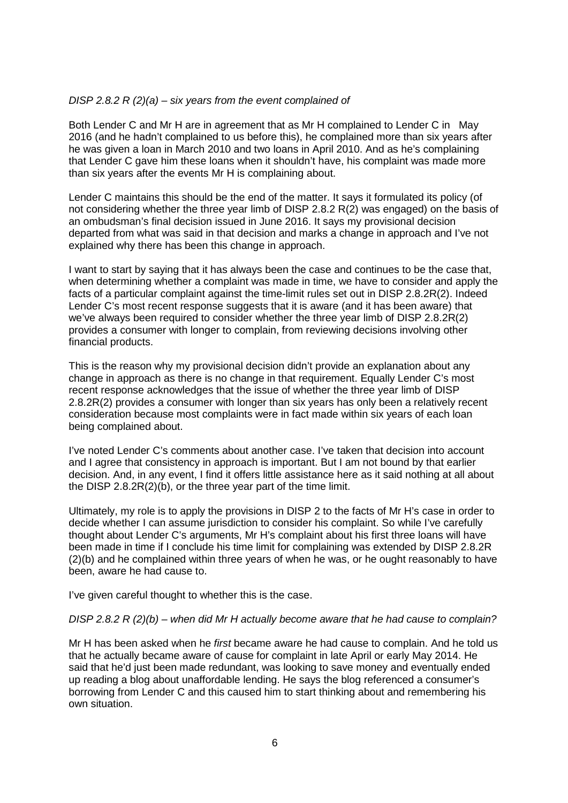## *DISP 2.8.2 R (2)(a) – six years from the event complained of*

Both Lender C and Mr H are in agreement that as Mr H complained to Lender C in May 2016 (and he hadn't complained to us before this), he complained more than six years after he was given a loan in March 2010 and two loans in April 2010. And as he's complaining that Lender C gave him these loans when it shouldn't have, his complaint was made more than six years after the events Mr H is complaining about.

Lender C maintains this should be the end of the matter. It says it formulated its policy (of not considering whether the three year limb of DISP 2.8.2 R(2) was engaged) on the basis of an ombudsman's final decision issued in June 2016. It says my provisional decision departed from what was said in that decision and marks a change in approach and I've not explained why there has been this change in approach.

I want to start by saying that it has always been the case and continues to be the case that, when determining whether a complaint was made in time, we have to consider and apply the facts of a particular complaint against the time-limit rules set out in DISP 2.8.2R(2). Indeed Lender C's most recent response suggests that it is aware (and it has been aware) that we've always been required to consider whether the three year limb of DISP 2.8.2R(2) provides a consumer with longer to complain, from reviewing decisions involving other financial products.

This is the reason why my provisional decision didn't provide an explanation about any change in approach as there is no change in that requirement. Equally Lender C's most recent response acknowledges that the issue of whether the three year limb of DISP 2.8.2R(2) provides a consumer with longer than six years has only been a relatively recent consideration because most complaints were in fact made within six years of each loan being complained about.

I've noted Lender C's comments about another case. I've taken that decision into account and I agree that consistency in approach is important. But I am not bound by that earlier decision. And, in any event, I find it offers little assistance here as it said nothing at all about the DISP 2.8.2R(2)(b), or the three year part of the time limit.

Ultimately, my role is to apply the provisions in DISP 2 to the facts of Mr H's case in order to decide whether I can assume jurisdiction to consider his complaint. So while I've carefully thought about Lender C's arguments, Mr H's complaint about his first three loans will have been made in time if I conclude his time limit for complaining was extended by DISP 2.8.2R (2)(b) and he complained within three years of when he was, or he ought reasonably to have been, aware he had cause to.

I've given careful thought to whether this is the case.

#### *DISP 2.8.2 R (2)(b) – when did Mr H actually become aware that he had cause to complain?*

Mr H has been asked when he *first* became aware he had cause to complain. And he told us that he actually became aware of cause for complaint in late April or early May 2014. He said that he'd just been made redundant, was looking to save money and eventually ended up reading a blog about unaffordable lending. He says the blog referenced a consumer's borrowing from Lender C and this caused him to start thinking about and remembering his own situation.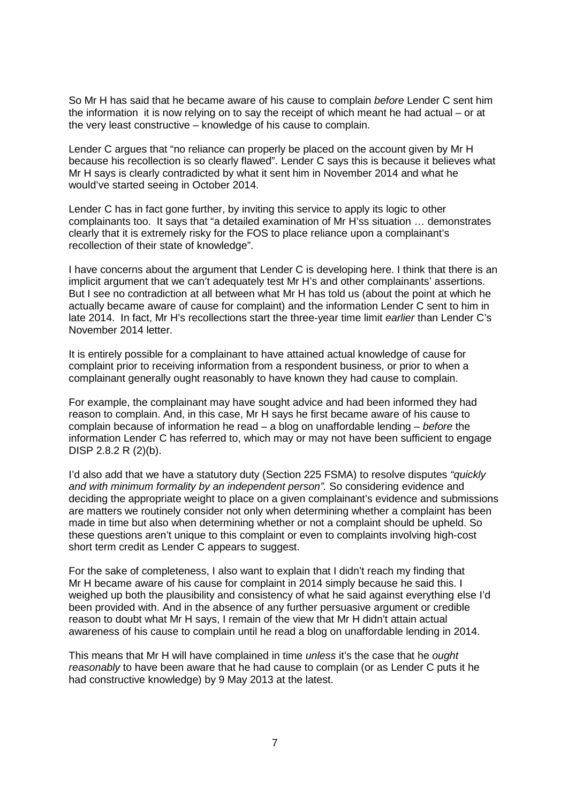So Mr H has said that he became aware of his cause to complain *before* Lender C sent him the information it is now relying on to say the receipt of which meant he had actual – or at the very least constructive – knowledge of his cause to complain.

Lender C argues that "no reliance can properly be placed on the account given by Mr H because his recollection is so clearly flawed". Lender C says this is because it believes what Mr H says is clearly contradicted by what it sent him in November 2014 and what he would've started seeing in October 2014.

Lender C has in fact gone further, by inviting this service to apply its logic to other complainants too. It says that "a detailed examination of Mr H'ss situation … demonstrates clearly that it is extremely risky for the FOS to place reliance upon a complainant's recollection of their state of knowledge".

I have concerns about the argument that Lender C is developing here. I think that there is an implicit argument that we can't adequately test Mr H's and other complainants' assertions. But I see no contradiction at all between what Mr H has told us (about the point at which he actually became aware of cause for complaint) and the information Lender C sent to him in late 2014. In fact, Mr H's recollections start the three-year time limit *earlier* than Lender C's November 2014 letter.

It is entirely possible for a complainant to have attained actual knowledge of cause for complaint prior to receiving information from a respondent business, or prior to when a complainant generally ought reasonably to have known they had cause to complain.

For example, the complainant may have sought advice and had been informed they had reason to complain. And, in this case, Mr H says he first became aware of his cause to complain because of information he read – a blog on unaffordable lending – *before* the information Lender C has referred to, which may or may not have been sufficient to engage DISP 2.8.2 R (2)(b).

I'd also add that we have a statutory duty (Section 225 FSMA) to resolve disputes *"quickly and with minimum formality by an independent person".* So considering evidence and deciding the appropriate weight to place on a given complainant's evidence and submissions are matters we routinely consider not only when determining whether a complaint has been made in time but also when determining whether or not a complaint should be upheld. So these questions aren't unique to this complaint or even to complaints involving high-cost short term credit as Lender C appears to suggest.

For the sake of completeness, I also want to explain that I didn't reach my finding that Mr H became aware of his cause for complaint in 2014 simply because he said this. I weighed up both the plausibility and consistency of what he said against everything else I'd been provided with. And in the absence of any further persuasive argument or credible reason to doubt what Mr H says, I remain of the view that Mr H didn't attain actual awareness of his cause to complain until he read a blog on unaffordable lending in 2014.

This means that Mr H will have complained in time *unless* it's the case that he *ought reasonably* to have been aware that he had cause to complain (or as Lender C puts it he had constructive knowledge) by 9 May 2013 at the latest.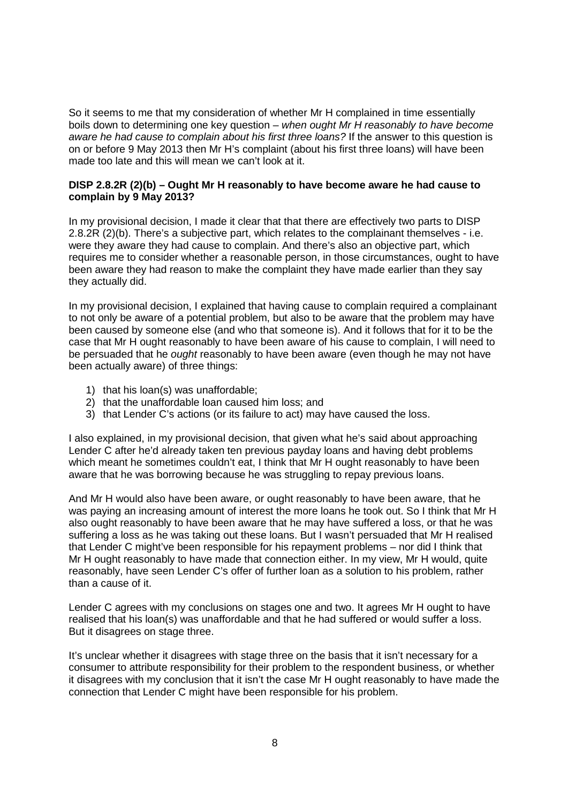So it seems to me that my consideration of whether Mr H complained in time essentially boils down to determining one key question – *when ought Mr H reasonably to have become aware he had cause to complain about his first three loans?* If the answer to this question is on or before 9 May 2013 then Mr H's complaint (about his first three loans) will have been made too late and this will mean we can't look at it.

## **DISP 2.8.2R (2)(b) – Ought Mr H reasonably to have become aware he had cause to complain by 9 May 2013?**

In my provisional decision, I made it clear that that there are effectively two parts to DISP 2.8.2R (2)(b). There's a subjective part, which relates to the complainant themselves - i.e. were they aware they had cause to complain. And there's also an objective part, which requires me to consider whether a reasonable person, in those circumstances, ought to have been aware they had reason to make the complaint they have made earlier than they say they actually did.

In my provisional decision, I explained that having cause to complain required a complainant to not only be aware of a potential problem, but also to be aware that the problem may have been caused by someone else (and who that someone is). And it follows that for it to be the case that Mr H ought reasonably to have been aware of his cause to complain, I will need to be persuaded that he *ought* reasonably to have been aware (even though he may not have been actually aware) of three things:

- 1) that his loan(s) was unaffordable;
- 2) that the unaffordable loan caused him loss; and
- 3) that Lender C's actions (or its failure to act) may have caused the loss.

I also explained, in my provisional decision, that given what he's said about approaching Lender C after he'd already taken ten previous payday loans and having debt problems which meant he sometimes couldn't eat, I think that Mr H ought reasonably to have been aware that he was borrowing because he was struggling to repay previous loans.

And Mr H would also have been aware, or ought reasonably to have been aware, that he was paying an increasing amount of interest the more loans he took out. So I think that Mr H also ought reasonably to have been aware that he may have suffered a loss, or that he was suffering a loss as he was taking out these loans. But I wasn't persuaded that Mr H realised that Lender C might've been responsible for his repayment problems – nor did I think that Mr H ought reasonably to have made that connection either. In my view, Mr H would, quite reasonably, have seen Lender C's offer of further loan as a solution to his problem, rather than a cause of it.

Lender C agrees with my conclusions on stages one and two. It agrees Mr H ought to have realised that his loan(s) was unaffordable and that he had suffered or would suffer a loss. But it disagrees on stage three.

It's unclear whether it disagrees with stage three on the basis that it isn't necessary for a consumer to attribute responsibility for their problem to the respondent business, or whether it disagrees with my conclusion that it isn't the case Mr H ought reasonably to have made the connection that Lender C might have been responsible for his problem.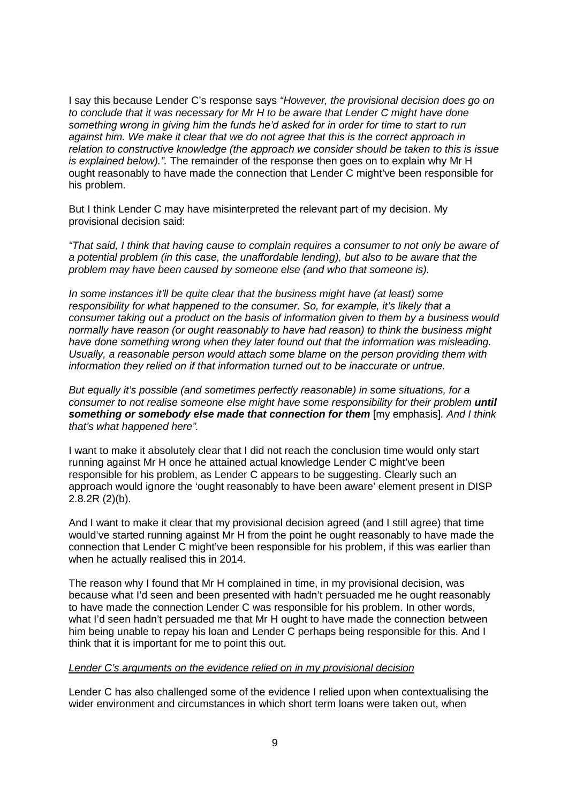I say this because Lender C's response says *"However, the provisional decision does go on to conclude that it was necessary for Mr H to be aware that Lender C might have done something wrong in giving him the funds he'd asked for in order for time to start to run against him. We make it clear that we do not agree that this is the correct approach in relation to constructive knowledge (the approach we consider should be taken to this is issue is explained below).".* The remainder of the response then goes on to explain why Mr H ought reasonably to have made the connection that Lender C might've been responsible for his problem.

But I think Lender C may have misinterpreted the relevant part of my decision. My provisional decision said:

*"That said, I think that having cause to complain requires a consumer to not only be aware of a potential problem (in this case, the unaffordable lending), but also to be aware that the problem may have been caused by someone else (and who that someone is).*

*In some instances it'll be quite clear that the business might have (at least) some responsibility for what happened to the consumer. So, for example, it's likely that a consumer taking out a product on the basis of information given to them by a business would normally have reason (or ought reasonably to have had reason) to think the business might have done something wrong when they later found out that the information was misleading. Usually, a reasonable person would attach some blame on the person providing them with information they relied on if that information turned out to be inaccurate or untrue.* 

*But equally it's possible (and sometimes perfectly reasonable) in some situations, for a consumer to not realise someone else might have some responsibility for their problem until something or somebody else made that connection for them* [my emphasis]*. And I think that's what happened here".*

I want to make it absolutely clear that I did not reach the conclusion time would only start running against Mr H once he attained actual knowledge Lender C might've been responsible for his problem, as Lender C appears to be suggesting. Clearly such an approach would ignore the 'ought reasonably to have been aware' element present in DISP 2.8.2R (2)(b).

And I want to make it clear that my provisional decision agreed (and I still agree) that time would've started running against Mr H from the point he ought reasonably to have made the connection that Lender C might've been responsible for his problem, if this was earlier than when he actually realised this in 2014.

The reason why I found that Mr H complained in time, in my provisional decision, was because what I'd seen and been presented with hadn't persuaded me he ought reasonably to have made the connection Lender C was responsible for his problem. In other words, what I'd seen hadn't persuaded me that Mr H ought to have made the connection between him being unable to repay his loan and Lender C perhaps being responsible for this. And I think that it is important for me to point this out.

#### *Lender C's arguments on the evidence relied on in my provisional decision*

Lender C has also challenged some of the evidence I relied upon when contextualising the wider environment and circumstances in which short term loans were taken out, when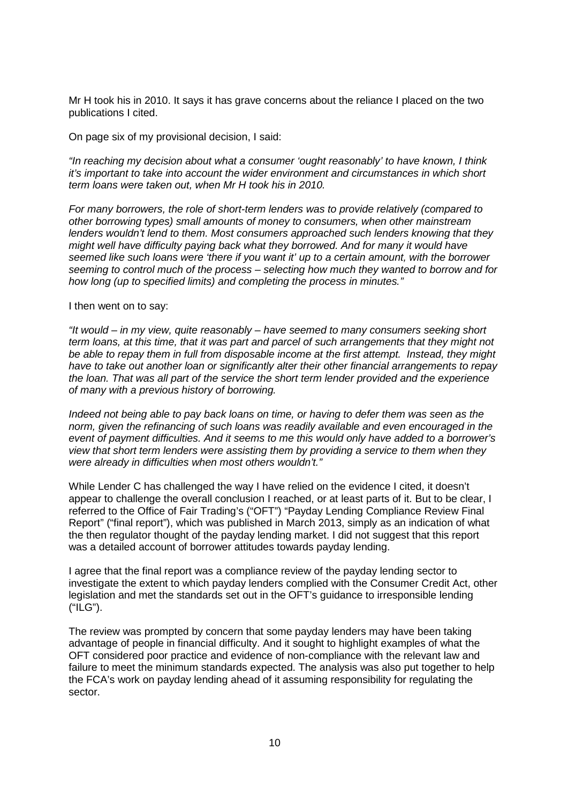Mr H took his in 2010. It says it has grave concerns about the reliance I placed on the two publications I cited.

On page six of my provisional decision, I said:

*"In reaching my decision about what a consumer 'ought reasonably' to have known, I think it's important to take into account the wider environment and circumstances in which short term loans were taken out, when Mr H took his in 2010.*

*For many borrowers, the role of short-term lenders was to provide relatively (compared to other borrowing types) small amounts of money to consumers, when other mainstream lenders wouldn't lend to them. Most consumers approached such lenders knowing that they might well have difficulty paying back what they borrowed. And for many it would have seemed like such loans were 'there if you want it' up to a certain amount, with the borrower seeming to control much of the process – selecting how much they wanted to borrow and for how long (up to specified limits) and completing the process in minutes."*

#### I then went on to say:

*"It would – in my view, quite reasonably – have seemed to many consumers seeking short term loans, at this time, that it was part and parcel of such arrangements that they might not be able to repay them in full from disposable income at the first attempt. Instead, they might have to take out another loan or significantly alter their other financial arrangements to repay the loan. That was all part of the service the short term lender provided and the experience of many with a previous history of borrowing.*

*Indeed not being able to pay back loans on time, or having to defer them was seen as the norm, given the refinancing of such loans was readily available and even encouraged in the event of payment difficulties. And it seems to me this would only have added to a borrower's view that short term lenders were assisting them by providing a service to them when they were already in difficulties when most others wouldn't."* 

While Lender C has challenged the way I have relied on the evidence I cited, it doesn't appear to challenge the overall conclusion I reached, or at least parts of it. But to be clear, I referred to the Office of Fair Trading's ("OFT") "Payday Lending Compliance Review Final Report" ("final report"), which was published in March 2013, simply as an indication of what the then regulator thought of the payday lending market. I did not suggest that this report was a detailed account of borrower attitudes towards payday lending.

I agree that the final report was a compliance review of the payday lending sector to investigate the extent to which payday lenders complied with the Consumer Credit Act, other legislation and met the standards set out in the OFT's guidance to irresponsible lending ("ILG").

The review was prompted by concern that some payday lenders may have been taking advantage of people in financial difficulty. And it sought to highlight examples of what the OFT considered poor practice and evidence of non-compliance with the relevant law and failure to meet the minimum standards expected. The analysis was also put together to help the FCA's work on payday lending ahead of it assuming responsibility for regulating the sector.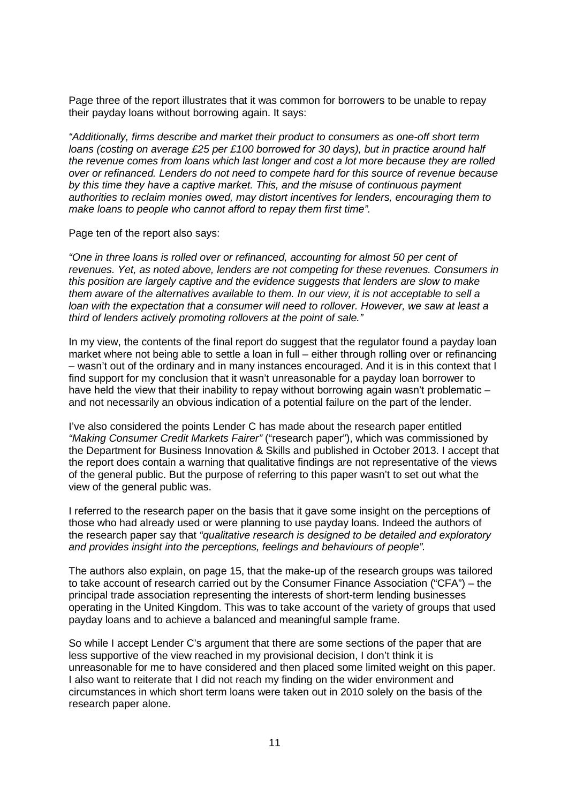Page three of the report illustrates that it was common for borrowers to be unable to repay their payday loans without borrowing again. It says:

*"Additionally, firms describe and market their product to consumers as one-off short term loans (costing on average £25 per £100 borrowed for 30 days), but in practice around half the revenue comes from loans which last longer and cost a lot more because they are rolled over or refinanced. Lenders do not need to compete hard for this source of revenue because by this time they have a captive market. This, and the misuse of continuous payment authorities to reclaim monies owed, may distort incentives for lenders, encouraging them to make loans to people who cannot afford to repay them first time".*

Page ten of the report also says:

*"One in three loans is rolled over or refinanced, accounting for almost 50 per cent of revenues. Yet, as noted above, lenders are not competing for these revenues. Consumers in this position are largely captive and the evidence suggests that lenders are slow to make them aware of the alternatives available to them. In our view, it is not acceptable to sell a loan with the expectation that a consumer will need to rollover. However, we saw at least a third of lenders actively promoting rollovers at the point of sale."*

In my view, the contents of the final report do suggest that the regulator found a payday loan market where not being able to settle a loan in full – either through rolling over or refinancing – wasn't out of the ordinary and in many instances encouraged. And it is in this context that I find support for my conclusion that it wasn't unreasonable for a payday loan borrower to have held the view that their inability to repay without borrowing again wasn't problematic – and not necessarily an obvious indication of a potential failure on the part of the lender.

I've also considered the points Lender C has made about the research paper entitled *"Making Consumer Credit Markets Fairer"* ("research paper"), which was commissioned by the Department for Business Innovation & Skills and published in October 2013. I accept that the report does contain a warning that qualitative findings are not representative of the views of the general public. But the purpose of referring to this paper wasn't to set out what the view of the general public was.

I referred to the research paper on the basis that it gave some insight on the perceptions of those who had already used or were planning to use payday loans. Indeed the authors of the research paper say that *"qualitative research is designed to be detailed and exploratory and provides insight into the perceptions, feelings and behaviours of people".* 

The authors also explain, on page 15, that the make-up of the research groups was tailored to take account of research carried out by the Consumer Finance Association ("CFA") – the principal trade association representing the interests of short-term lending businesses operating in the United Kingdom. This was to take account of the variety of groups that used payday loans and to achieve a balanced and meaningful sample frame.

So while I accept Lender C's argument that there are some sections of the paper that are less supportive of the view reached in my provisional decision, I don't think it is unreasonable for me to have considered and then placed some limited weight on this paper. I also want to reiterate that I did not reach my finding on the wider environment and circumstances in which short term loans were taken out in 2010 solely on the basis of the research paper alone.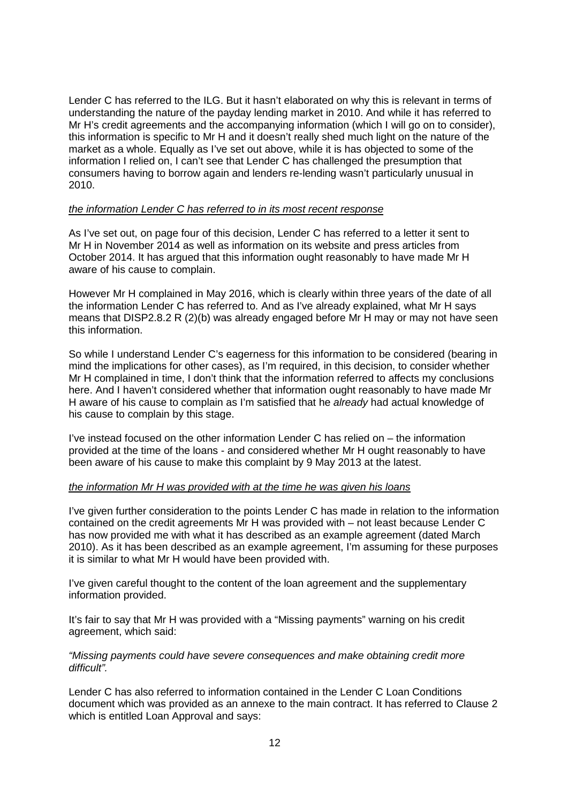Lender C has referred to the ILG. But it hasn't elaborated on why this is relevant in terms of understanding the nature of the payday lending market in 2010. And while it has referred to Mr H's credit agreements and the accompanying information (which I will go on to consider), this information is specific to Mr H and it doesn't really shed much light on the nature of the market as a whole. Equally as I've set out above, while it is has objected to some of the information I relied on, I can't see that Lender C has challenged the presumption that consumers having to borrow again and lenders re-lending wasn't particularly unusual in 2010.

## *the information Lender C has referred to in its most recent response*

As I've set out, on page four of this decision, Lender C has referred to a letter it sent to Mr H in November 2014 as well as information on its website and press articles from October 2014. It has argued that this information ought reasonably to have made Mr H aware of his cause to complain.

However Mr H complained in May 2016, which is clearly within three years of the date of all the information Lender C has referred to. And as I've already explained, what Mr H says means that DISP2.8.2 R (2)(b) was already engaged before Mr H may or may not have seen this information.

So while I understand Lender C's eagerness for this information to be considered (bearing in mind the implications for other cases), as I'm required, in this decision, to consider whether Mr H complained in time, I don't think that the information referred to affects my conclusions here. And I haven't considered whether that information ought reasonably to have made Mr H aware of his cause to complain as I'm satisfied that he *already* had actual knowledge of his cause to complain by this stage.

I've instead focused on the other information Lender C has relied on – the information provided at the time of the loans - and considered whether Mr H ought reasonably to have been aware of his cause to make this complaint by 9 May 2013 at the latest.

#### *the information Mr H was provided with at the time he was given his loans*

I've given further consideration to the points Lender C has made in relation to the information contained on the credit agreements Mr H was provided with – not least because Lender C has now provided me with what it has described as an example agreement (dated March 2010). As it has been described as an example agreement, I'm assuming for these purposes it is similar to what Mr H would have been provided with.

I've given careful thought to the content of the loan agreement and the supplementary information provided.

It's fair to say that Mr H was provided with a "Missing payments" warning on his credit agreement, which said:

*"Missing payments could have severe consequences and make obtaining credit more difficult".*

Lender C has also referred to information contained in the Lender C Loan Conditions document which was provided as an annexe to the main contract. It has referred to Clause 2 which is entitled Loan Approval and says: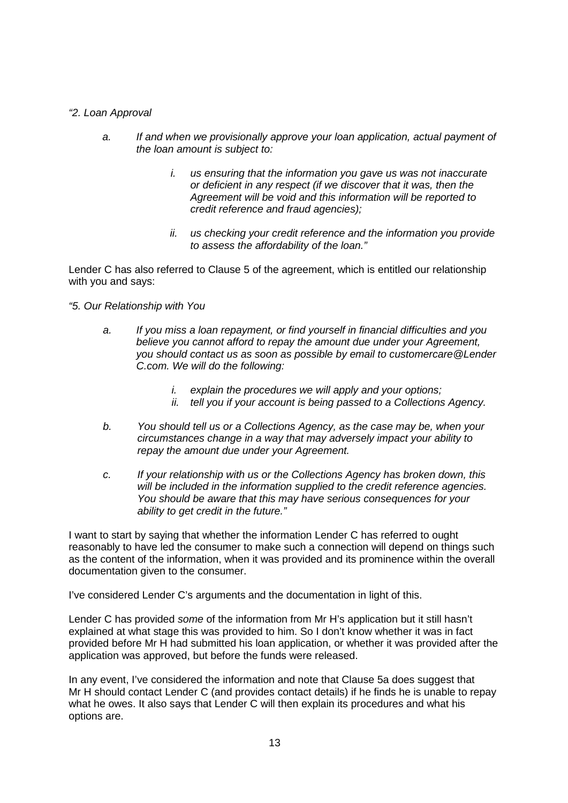# *"2. Loan Approval*

- *a. If and when we provisionally approve your loan application, actual payment of the loan amount is subject to:*
	- *i. us ensuring that the information you gave us was not inaccurate or deficient in any respect (if we discover that it was, then the Agreement will be void and this information will be reported to credit reference and fraud agencies);*
	- *ii. us checking your credit reference and the information you provide to assess the affordability of the loan."*

Lender C has also referred to Clause 5 of the agreement, which is entitled our relationship with you and says:

*"5. Our Relationship with You*

- *a. If you miss a loan repayment, or find yourself in financial difficulties and you believe you cannot afford to repay the amount due under your Agreement, you should contact us as soon as possible by email to customercare@Lender C.com. We will do the following:*
	- *i. explain the procedures we will apply and your options;*
	- *ii. tell you if your account is being passed to a Collections Agency.*
- *b. You should tell us or a Collections Agency, as the case may be, when your circumstances change in a way that may adversely impact your ability to repay the amount due under your Agreement.*
- *c. If your relationship with us or the Collections Agency has broken down, this will be included in the information supplied to the credit reference agencies. You should be aware that this may have serious consequences for your ability to get credit in the future."*

I want to start by saying that whether the information Lender C has referred to ought reasonably to have led the consumer to make such a connection will depend on things such as the content of the information, when it was provided and its prominence within the overall documentation given to the consumer.

I've considered Lender C's arguments and the documentation in light of this.

Lender C has provided *some* of the information from Mr H's application but it still hasn't explained at what stage this was provided to him. So I don't know whether it was in fact provided before Mr H had submitted his loan application, or whether it was provided after the application was approved, but before the funds were released.

In any event, I've considered the information and note that Clause 5a does suggest that Mr H should contact Lender C (and provides contact details) if he finds he is unable to repay what he owes. It also says that Lender C will then explain its procedures and what his options are.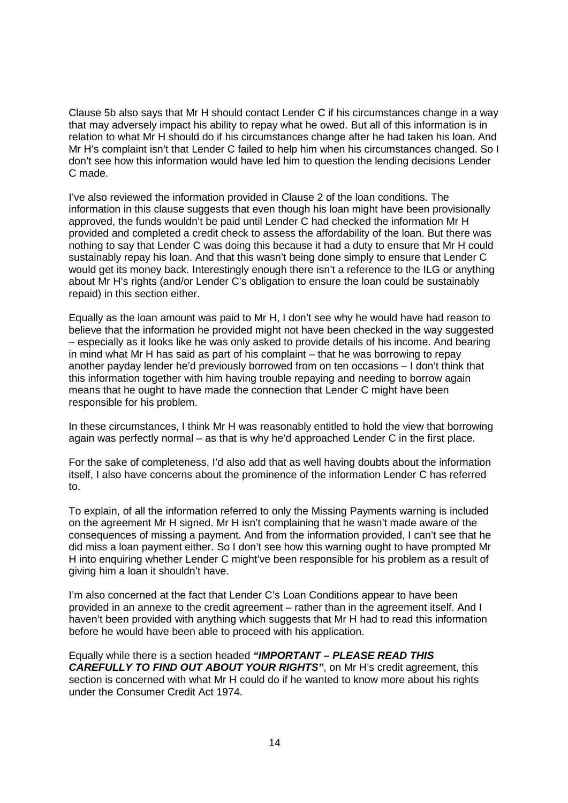Clause 5b also says that Mr H should contact Lender C if his circumstances change in a way that may adversely impact his ability to repay what he owed. But all of this information is in relation to what Mr H should do if his circumstances change after he had taken his loan. And Mr H's complaint isn't that Lender C failed to help him when his circumstances changed. So I don't see how this information would have led him to question the lending decisions Lender C made.

I've also reviewed the information provided in Clause 2 of the loan conditions. The information in this clause suggests that even though his loan might have been provisionally approved, the funds wouldn't be paid until Lender C had checked the information Mr H provided and completed a credit check to assess the affordability of the loan. But there was nothing to say that Lender C was doing this because it had a duty to ensure that Mr H could sustainably repay his loan. And that this wasn't being done simply to ensure that Lender C would get its money back. Interestingly enough there isn't a reference to the ILG or anything about Mr H's rights (and/or Lender C's obligation to ensure the loan could be sustainably repaid) in this section either.

Equally as the loan amount was paid to Mr H, I don't see why he would have had reason to believe that the information he provided might not have been checked in the way suggested – especially as it looks like he was only asked to provide details of his income. And bearing in mind what Mr H has said as part of his complaint – that he was borrowing to repay another payday lender he'd previously borrowed from on ten occasions – I don't think that this information together with him having trouble repaying and needing to borrow again means that he ought to have made the connection that Lender C might have been responsible for his problem.

In these circumstances, I think Mr H was reasonably entitled to hold the view that borrowing again was perfectly normal – as that is why he'd approached Lender C in the first place.

For the sake of completeness, I'd also add that as well having doubts about the information itself, I also have concerns about the prominence of the information Lender C has referred to.

To explain, of all the information referred to only the Missing Payments warning is included on the agreement Mr H signed. Mr H isn't complaining that he wasn't made aware of the consequences of missing a payment. And from the information provided, I can't see that he did miss a loan payment either. So I don't see how this warning ought to have prompted Mr H into enquiring whether Lender C might've been responsible for his problem as a result of giving him a loan it shouldn't have.

I'm also concerned at the fact that Lender C's Loan Conditions appear to have been provided in an annexe to the credit agreement – rather than in the agreement itself. And I haven't been provided with anything which suggests that Mr H had to read this information before he would have been able to proceed with his application.

Equally while there is a section headed *"IMPORTANT – PLEASE READ THIS CAREFULLY TO FIND OUT ABOUT YOUR RIGHTS"*, on Mr H's credit agreement, this section is concerned with what Mr H could do if he wanted to know more about his rights under the Consumer Credit Act 1974.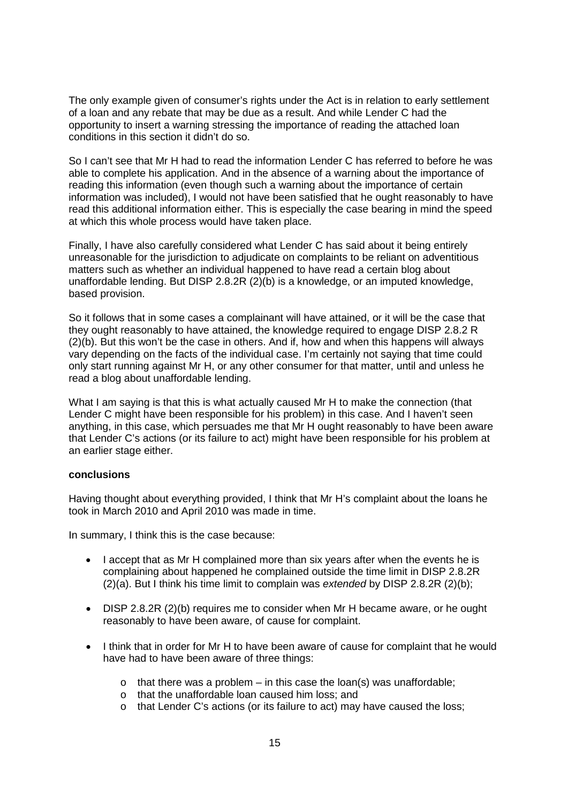The only example given of consumer's rights under the Act is in relation to early settlement of a loan and any rebate that may be due as a result. And while Lender C had the opportunity to insert a warning stressing the importance of reading the attached loan conditions in this section it didn't do so.

So I can't see that Mr H had to read the information Lender C has referred to before he was able to complete his application. And in the absence of a warning about the importance of reading this information (even though such a warning about the importance of certain information was included), I would not have been satisfied that he ought reasonably to have read this additional information either. This is especially the case bearing in mind the speed at which this whole process would have taken place.

Finally, I have also carefully considered what Lender C has said about it being entirely unreasonable for the jurisdiction to adjudicate on complaints to be reliant on adventitious matters such as whether an individual happened to have read a certain blog about unaffordable lending. But DISP 2.8.2R (2)(b) is a knowledge, or an imputed knowledge, based provision.

So it follows that in some cases a complainant will have attained, or it will be the case that they ought reasonably to have attained, the knowledge required to engage DISP 2.8.2 R (2)(b). But this won't be the case in others. And if, how and when this happens will always vary depending on the facts of the individual case. I'm certainly not saying that time could only start running against Mr H, or any other consumer for that matter, until and unless he read a blog about unaffordable lending.

What I am saying is that this is what actually caused Mr H to make the connection (that Lender C might have been responsible for his problem) in this case. And I haven't seen anything, in this case, which persuades me that Mr H ought reasonably to have been aware that Lender C's actions (or its failure to act) might have been responsible for his problem at an earlier stage either.

#### **conclusions**

Having thought about everything provided, I think that Mr H's complaint about the loans he took in March 2010 and April 2010 was made in time.

In summary, I think this is the case because:

- I accept that as Mr H complained more than six years after when the events he is complaining about happened he complained outside the time limit in DISP 2.8.2R (2)(a). But I think his time limit to complain was *extended* by DISP 2.8.2R (2)(b);
- DISP 2.8.2R (2)(b) requires me to consider when Mr H became aware, or he ought reasonably to have been aware, of cause for complaint.
- I think that in order for Mr H to have been aware of cause for complaint that he would have had to have been aware of three things:
	- $\circ$  that there was a problem in this case the loan(s) was unaffordable;
	- o that the unaffordable loan caused him loss; and
	- o that Lender C's actions (or its failure to act) may have caused the loss;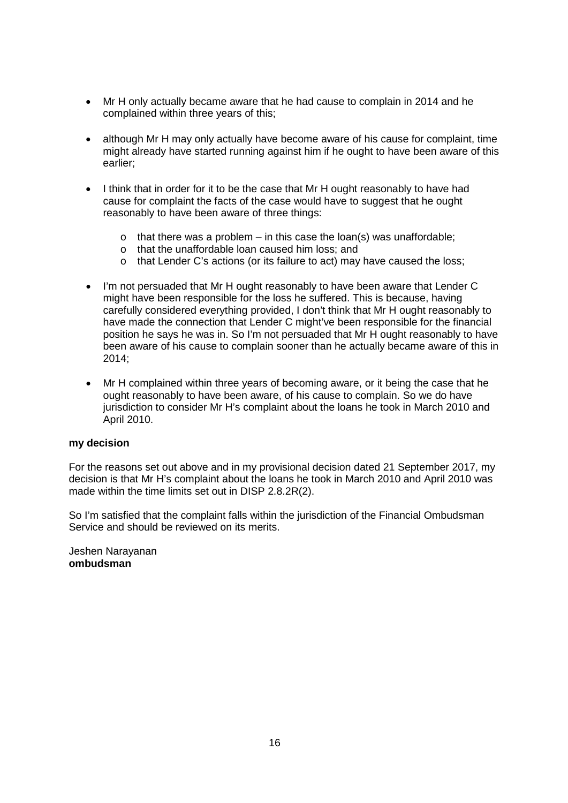- Mr H only actually became aware that he had cause to complain in 2014 and he complained within three years of this;
- although Mr H may only actually have become aware of his cause for complaint, time might already have started running against him if he ought to have been aware of this earlier;
- I think that in order for it to be the case that Mr H ought reasonably to have had cause for complaint the facts of the case would have to suggest that he ought reasonably to have been aware of three things:
	- $\circ$  that there was a problem in this case the loan(s) was unaffordable;
	- o that the unaffordable loan caused him loss; and
	- o that Lender C's actions (or its failure to act) may have caused the loss;
- I'm not persuaded that Mr H ought reasonably to have been aware that Lender C might have been responsible for the loss he suffered. This is because, having carefully considered everything provided, I don't think that Mr H ought reasonably to have made the connection that Lender C might've been responsible for the financial position he says he was in. So I'm not persuaded that Mr H ought reasonably to have been aware of his cause to complain sooner than he actually became aware of this in 2014;
- Mr H complained within three years of becoming aware, or it being the case that he ought reasonably to have been aware, of his cause to complain. So we do have jurisdiction to consider Mr H's complaint about the loans he took in March 2010 and April 2010.

#### **my decision**

For the reasons set out above and in my provisional decision dated 21 September 2017, my decision is that Mr H's complaint about the loans he took in March 2010 and April 2010 was made within the time limits set out in DISP 2.8.2R(2).

So I'm satisfied that the complaint falls within the jurisdiction of the Financial Ombudsman Service and should be reviewed on its merits.

Jeshen Narayanan **ombudsman**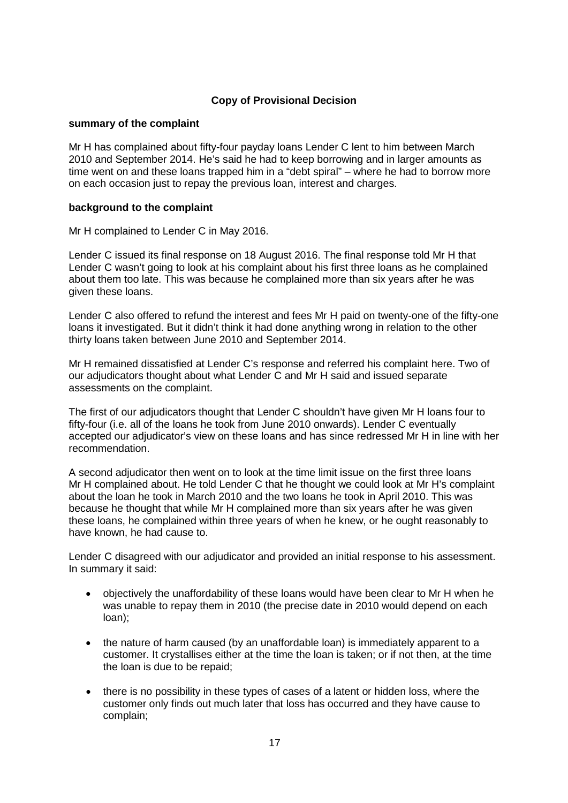# **Copy of Provisional Decision**

## **summary of the complaint**

Mr H has complained about fifty-four payday loans Lender C lent to him between March 2010 and September 2014. He's said he had to keep borrowing and in larger amounts as time went on and these loans trapped him in a "debt spiral" – where he had to borrow more on each occasion just to repay the previous loan, interest and charges.

## **background to the complaint**

Mr H complained to Lender C in May 2016.

Lender C issued its final response on 18 August 2016. The final response told Mr H that Lender C wasn't going to look at his complaint about his first three loans as he complained about them too late. This was because he complained more than six years after he was given these loans.

Lender C also offered to refund the interest and fees Mr H paid on twenty-one of the fifty-one loans it investigated. But it didn't think it had done anything wrong in relation to the other thirty loans taken between June 2010 and September 2014.

Mr H remained dissatisfied at Lender C's response and referred his complaint here. Two of our adjudicators thought about what Lender C and Mr H said and issued separate assessments on the complaint.

The first of our adjudicators thought that Lender C shouldn't have given Mr H loans four to fifty-four (i.e. all of the loans he took from June 2010 onwards). Lender C eventually accepted our adjudicator's view on these loans and has since redressed Mr H in line with her recommendation.

A second adjudicator then went on to look at the time limit issue on the first three loans Mr H complained about. He told Lender C that he thought we could look at Mr H's complaint about the loan he took in March 2010 and the two loans he took in April 2010. This was because he thought that while Mr H complained more than six years after he was given these loans, he complained within three years of when he knew, or he ought reasonably to have known, he had cause to.

Lender C disagreed with our adjudicator and provided an initial response to his assessment. In summary it said:

- objectively the unaffordability of these loans would have been clear to Mr H when he was unable to repay them in 2010 (the precise date in 2010 would depend on each loan);
- the nature of harm caused (by an unaffordable loan) is immediately apparent to a customer. It crystallises either at the time the loan is taken; or if not then, at the time the loan is due to be repaid;
- there is no possibility in these types of cases of a latent or hidden loss, where the customer only finds out much later that loss has occurred and they have cause to complain;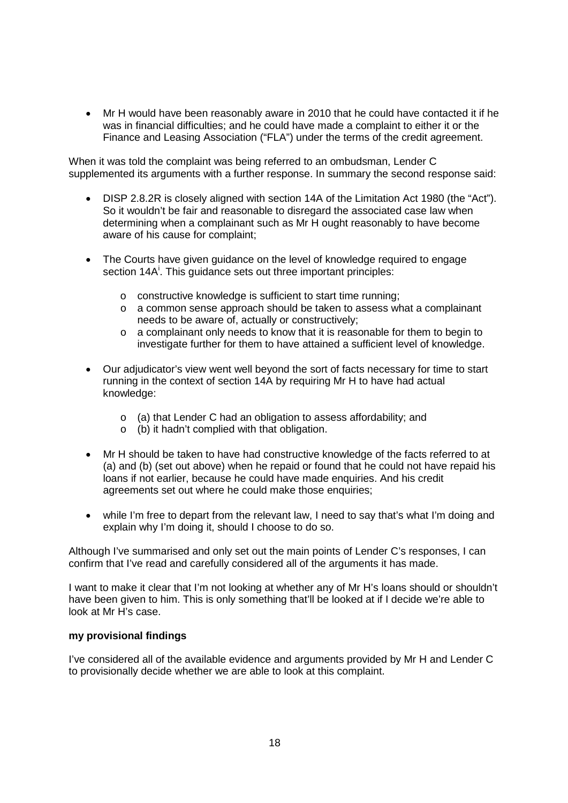• Mr H would have been reasonably aware in 2010 that he could have contacted it if he was in financial difficulties; and he could have made a complaint to either it or the Finance and Leasing Association ("FLA") under the terms of the credit agreement.

When it was told the complaint was being referred to an ombudsman, Lender C supplemented its arguments with a further response. In summary the second response said:

- DISP 2.8.2R is closely aligned with section 14A of the Limitation Act 1980 (the "Act"). So it wouldn't be fair and reasonable to disregard the associated case law when determining when a complainant such as Mr H ought reasonably to have become aware of his cause for complaint;
- The Courts have given guidance on the level of knowledge required to engage sect[i](#page-25-0)on 14A<sup>i</sup>. This guidance sets out three important principles:
	- o constructive knowledge is sufficient to start time running;
	- o a common sense approach should be taken to assess what a complainant needs to be aware of, actually or constructively;
	- o a complainant only needs to know that it is reasonable for them to begin to investigate further for them to have attained a sufficient level of knowledge.
- Our adjudicator's view went well beyond the sort of facts necessary for time to start running in the context of section 14A by requiring Mr H to have had actual knowledge:
	- o (a) that Lender C had an obligation to assess affordability; and
	- o (b) it hadn't complied with that obligation.
- Mr H should be taken to have had constructive knowledge of the facts referred to at (a) and (b) (set out above) when he repaid or found that he could not have repaid his loans if not earlier, because he could have made enquiries. And his credit agreements set out where he could make those enquiries;
- while I'm free to depart from the relevant law, I need to say that's what I'm doing and explain why I'm doing it, should I choose to do so.

Although I've summarised and only set out the main points of Lender C's responses, I can confirm that I've read and carefully considered all of the arguments it has made.

I want to make it clear that I'm not looking at whether any of Mr H's loans should or shouldn't have been given to him. This is only something that'll be looked at if I decide we're able to look at Mr H's case.

### **my provisional findings**

I've considered all of the available evidence and arguments provided by Mr H and Lender C to provisionally decide whether we are able to look at this complaint.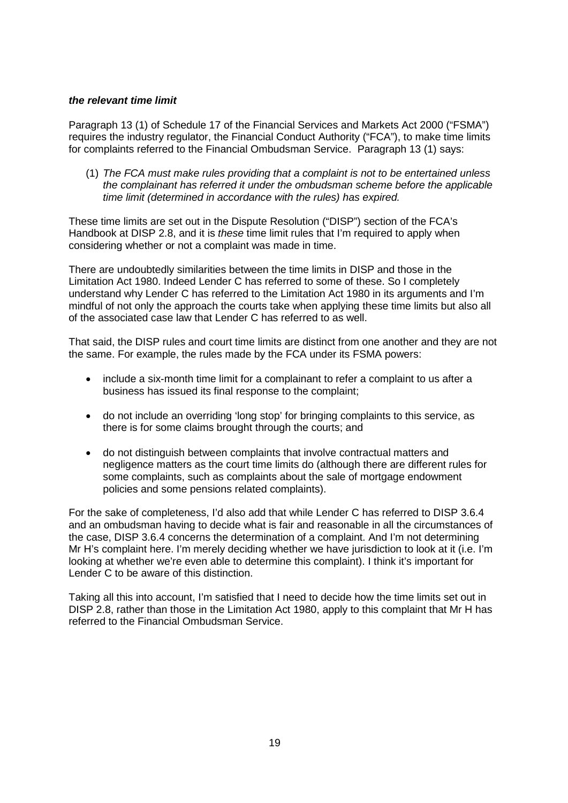## *the relevant time limit*

Paragraph 13 (1) of Schedule 17 of the Financial Services and Markets Act 2000 ("FSMA") requires the industry regulator, the Financial Conduct Authority ("FCA"), to make time limits for complaints referred to the Financial Ombudsman Service. Paragraph 13 (1) says:

(1) *The FCA must make rules providing that a complaint is not to be entertained unless the complainant has referred it under the ombudsman scheme before the applicable time limit (determined in accordance with the rules) has expired.*

These time limits are set out in the Dispute Resolution ("DISP") section of the FCA's Handbook at DISP 2.8, and it is *these* time limit rules that I'm required to apply when considering whether or not a complaint was made in time.

There are undoubtedly similarities between the time limits in DISP and those in the Limitation Act 1980. Indeed Lender C has referred to some of these. So I completely understand why Lender C has referred to the Limitation Act 1980 in its arguments and I'm mindful of not only the approach the courts take when applying these time limits but also all of the associated case law that Lender C has referred to as well.

That said, the DISP rules and court time limits are distinct from one another and they are not the same. For example, the rules made by the FCA under its FSMA powers:

- include a six-month time limit for a complainant to refer a complaint to us after a business has issued its final response to the complaint;
- do not include an overriding 'long stop' for bringing complaints to this service, as there is for some claims brought through the courts; and
- do not distinguish between complaints that involve contractual matters and negligence matters as the court time limits do (although there are different rules for some complaints, such as complaints about the sale of mortgage endowment policies and some pensions related complaints).

For the sake of completeness, I'd also add that while Lender C has referred to DISP 3.6.4 and an ombudsman having to decide what is fair and reasonable in all the circumstances of the case, DISP 3.6.4 concerns the determination of a complaint. And I'm not determining Mr H's complaint here. I'm merely deciding whether we have jurisdiction to look at it (i.e. I'm looking at whether we're even able to determine this complaint). I think it's important for Lender C to be aware of this distinction.

Taking all this into account, I'm satisfied that I need to decide how the time limits set out in DISP 2.8, rather than those in the Limitation Act 1980, apply to this complaint that Mr H has referred to the Financial Ombudsman Service.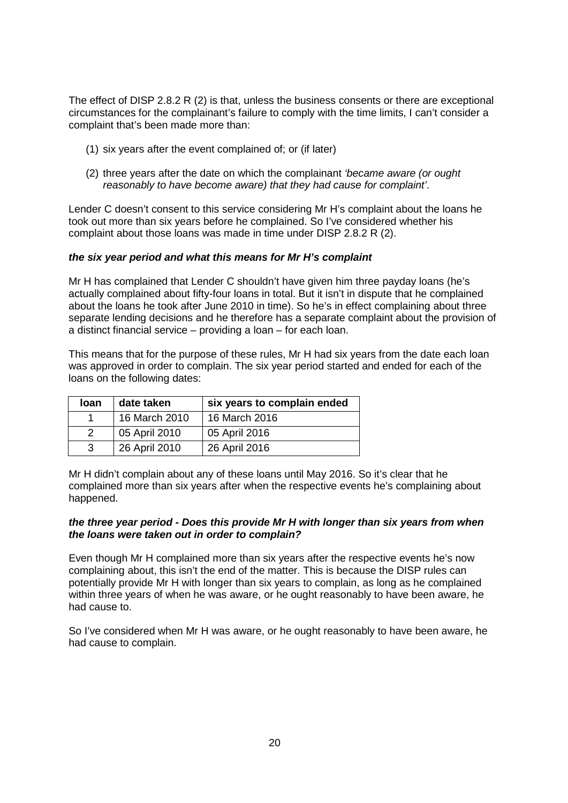The effect of DISP 2.8.2 R (2) is that, unless the business consents or there are exceptional circumstances for the complainant's failure to comply with the time limits, I can't consider a complaint that's been made more than:

- (1) six years after the event complained of; or (if later)
- (2) three years after the date on which the complainant *'became aware (or ought reasonably to have become aware) that they had cause for complaint'*.

Lender C doesn't consent to this service considering Mr H's complaint about the loans he took out more than six years before he complained. So I've considered whether his complaint about those loans was made in time under DISP 2.8.2 R (2).

## *the six year period and what this means for Mr H's complaint*

Mr H has complained that Lender C shouldn't have given him three payday loans (he's actually complained about fifty-four loans in total. But it isn't in dispute that he complained about the loans he took after June 2010 in time). So he's in effect complaining about three separate lending decisions and he therefore has a separate complaint about the provision of a distinct financial service – providing a loan – for each loan.

This means that for the purpose of these rules, Mr H had six years from the date each loan was approved in order to complain. The six year period started and ended for each of the loans on the following dates:

| loan | date taken    | six years to complain ended |
|------|---------------|-----------------------------|
|      | 16 March 2010 | 16 March 2016               |
|      | 05 April 2010 | 05 April 2016               |
| 3    | 26 April 2010 | 26 April 2016               |

Mr H didn't complain about any of these loans until May 2016. So it's clear that he complained more than six years after when the respective events he's complaining about happened.

## *the three year period - Does this provide Mr H with longer than six years from when the loans were taken out in order to complain?*

Even though Mr H complained more than six years after the respective events he's now complaining about, this isn't the end of the matter. This is because the DISP rules can potentially provide Mr H with longer than six years to complain, as long as he complained within three years of when he was aware, or he ought reasonably to have been aware, he had cause to.

So I've considered when Mr H was aware, or he ought reasonably to have been aware, he had cause to complain.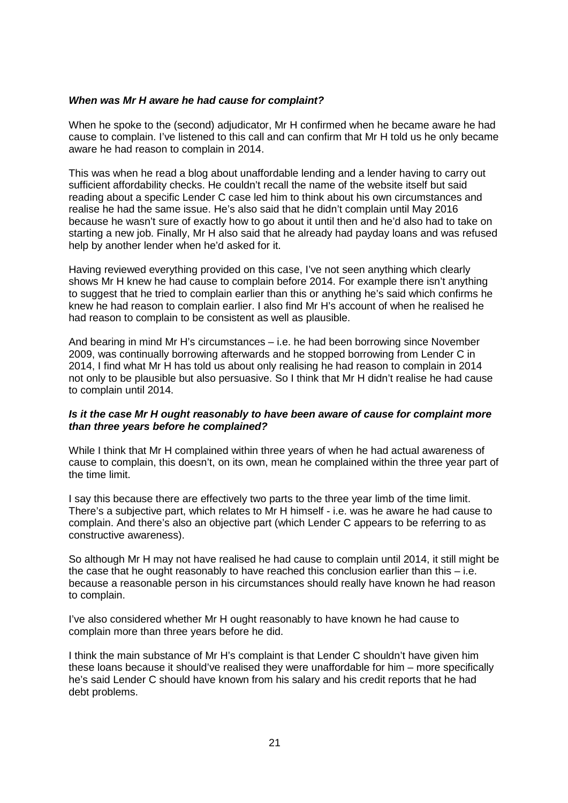## *When was Mr H aware he had cause for complaint?*

When he spoke to the (second) adjudicator, Mr H confirmed when he became aware he had cause to complain. I've listened to this call and can confirm that Mr H told us he only became aware he had reason to complain in 2014.

This was when he read a blog about unaffordable lending and a lender having to carry out sufficient affordability checks. He couldn't recall the name of the website itself but said reading about a specific Lender C case led him to think about his own circumstances and realise he had the same issue. He's also said that he didn't complain until May 2016 because he wasn't sure of exactly how to go about it until then and he'd also had to take on starting a new job. Finally, Mr H also said that he already had payday loans and was refused help by another lender when he'd asked for it.

Having reviewed everything provided on this case, I've not seen anything which clearly shows Mr H knew he had cause to complain before 2014. For example there isn't anything to suggest that he tried to complain earlier than this or anything he's said which confirms he knew he had reason to complain earlier. I also find Mr H's account of when he realised he had reason to complain to be consistent as well as plausible.

And bearing in mind Mr H's circumstances – i.e. he had been borrowing since November 2009, was continually borrowing afterwards and he stopped borrowing from Lender C in 2014, I find what Mr H has told us about only realising he had reason to complain in 2014 not only to be plausible but also persuasive. So I think that Mr H didn't realise he had cause to complain until 2014.

#### *Is it the case Mr H ought reasonably to have been aware of cause for complaint more than three years before he complained?*

While I think that Mr H complained within three years of when he had actual awareness of cause to complain, this doesn't, on its own, mean he complained within the three year part of the time limit.

I say this because there are effectively two parts to the three year limb of the time limit. There's a subjective part, which relates to Mr H himself - i.e. was he aware he had cause to complain. And there's also an objective part (which Lender C appears to be referring to as constructive awareness).

So although Mr H may not have realised he had cause to complain until 2014, it still might be the case that he ought reasonably to have reached this conclusion earlier than this  $-$  i.e. because a reasonable person in his circumstances should really have known he had reason to complain.

I've also considered whether Mr H ought reasonably to have known he had cause to complain more than three years before he did.

I think the main substance of Mr H's complaint is that Lender C shouldn't have given him these loans because it should've realised they were unaffordable for him – more specifically he's said Lender C should have known from his salary and his credit reports that he had debt problems.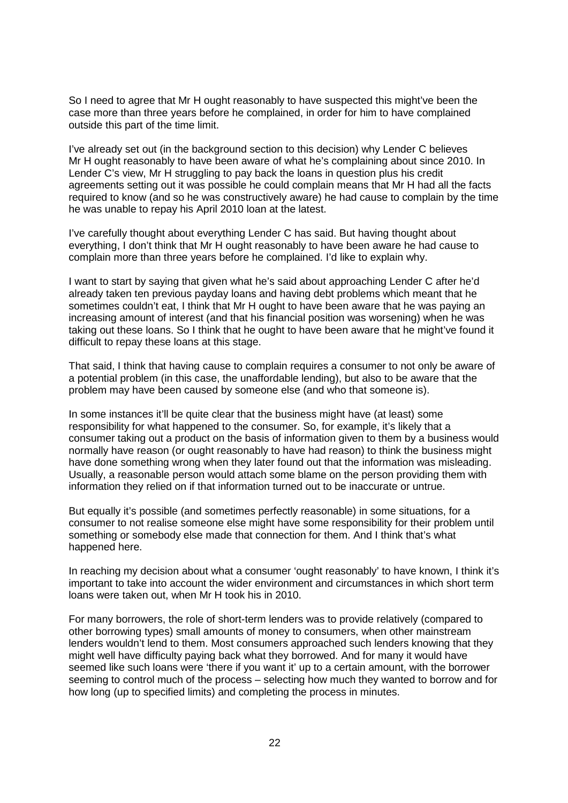So I need to agree that Mr H ought reasonably to have suspected this might've been the case more than three years before he complained, in order for him to have complained outside this part of the time limit.

I've already set out (in the background section to this decision) why Lender C believes Mr H ought reasonably to have been aware of what he's complaining about since 2010. In Lender C's view, Mr H struggling to pay back the loans in question plus his credit agreements setting out it was possible he could complain means that Mr H had all the facts required to know (and so he was constructively aware) he had cause to complain by the time he was unable to repay his April 2010 loan at the latest.

I've carefully thought about everything Lender C has said. But having thought about everything, I don't think that Mr H ought reasonably to have been aware he had cause to complain more than three years before he complained. I'd like to explain why.

I want to start by saying that given what he's said about approaching Lender C after he'd already taken ten previous payday loans and having debt problems which meant that he sometimes couldn't eat, I think that Mr H ought to have been aware that he was paying an increasing amount of interest (and that his financial position was worsening) when he was taking out these loans. So I think that he ought to have been aware that he might've found it difficult to repay these loans at this stage.

That said, I think that having cause to complain requires a consumer to not only be aware of a potential problem (in this case, the unaffordable lending), but also to be aware that the problem may have been caused by someone else (and who that someone is).

In some instances it'll be quite clear that the business might have (at least) some responsibility for what happened to the consumer. So, for example, it's likely that a consumer taking out a product on the basis of information given to them by a business would normally have reason (or ought reasonably to have had reason) to think the business might have done something wrong when they later found out that the information was misleading. Usually, a reasonable person would attach some blame on the person providing them with information they relied on if that information turned out to be inaccurate or untrue.

But equally it's possible (and sometimes perfectly reasonable) in some situations, for a consumer to not realise someone else might have some responsibility for their problem until something or somebody else made that connection for them. And I think that's what happened here.

In reaching my decision about what a consumer 'ought reasonably' to have known, I think it's important to take into account the wider environment and circumstances in which short term loans were taken out, when Mr H took his in 2010.

For many borrowers, the role of short-term lenders was to provide relatively (compared to other borrowing types) small amounts of money to consumers, when other mainstream lenders wouldn't lend to them. Most consumers approached such lenders knowing that they might well have difficulty paying back what they borrowed. And for many it would have seemed like such loans were 'there if you want it' up to a certain amount, with the borrower seeming to control much of the process – selecting how much they wanted to borrow and for how long (up to specified limits) and completing the process in minutes.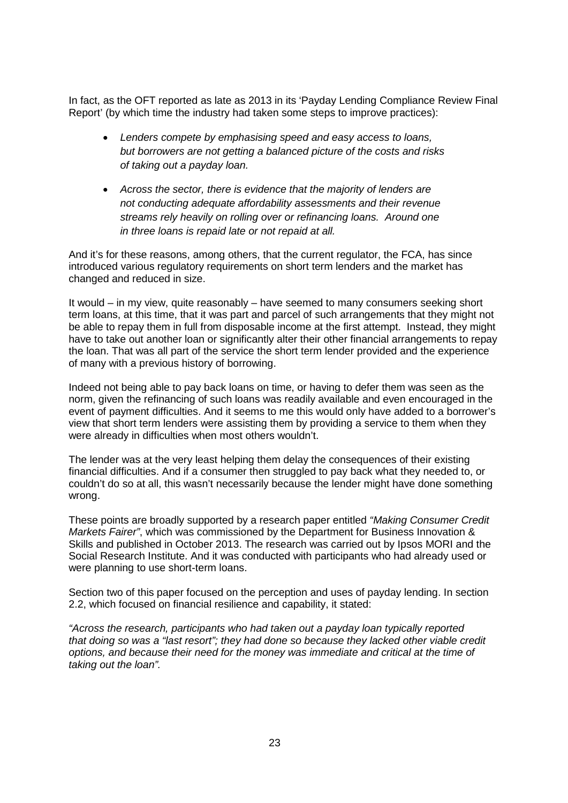In fact, as the OFT reported as late as 2013 in its 'Payday Lending Compliance Review Final Report' (by which time the industry had taken some steps to improve practices):

- *Lenders compete by emphasising speed and easy access to loans, but borrowers are not getting a balanced picture of the costs and risks of taking out a payday loan.*
- *Across the sector, there is evidence that the majority of lenders are not conducting adequate affordability assessments and their revenue streams rely heavily on rolling over or refinancing loans. Around one in three loans is repaid late or not repaid at all.*

And it's for these reasons, among others, that the current regulator, the FCA, has since introduced various regulatory requirements on short term lenders and the market has changed and reduced in size.

It would – in my view, quite reasonably – have seemed to many consumers seeking short term loans, at this time, that it was part and parcel of such arrangements that they might not be able to repay them in full from disposable income at the first attempt. Instead, they might have to take out another loan or significantly alter their other financial arrangements to repay the loan. That was all part of the service the short term lender provided and the experience of many with a previous history of borrowing.

Indeed not being able to pay back loans on time, or having to defer them was seen as the norm, given the refinancing of such loans was readily available and even encouraged in the event of payment difficulties. And it seems to me this would only have added to a borrower's view that short term lenders were assisting them by providing a service to them when they were already in difficulties when most others wouldn't.

The lender was at the very least helping them delay the consequences of their existing financial difficulties. And if a consumer then struggled to pay back what they needed to, or couldn't do so at all, this wasn't necessarily because the lender might have done something wrong.

These points are broadly supported by a research paper entitled *"Making Consumer Credit Markets Fairer"*, which was commissioned by the Department for Business Innovation & Skills and published in October 2013. The research was carried out by Ipsos MORI and the Social Research Institute. And it was conducted with participants who had already used or were planning to use short-term loans.

Section two of this paper focused on the perception and uses of payday lending. In section 2.2, which focused on financial resilience and capability, it stated:

*"Across the research, participants who had taken out a payday loan typically reported that doing so was a "last resort"; they had done so because they lacked other viable credit options, and because their need for the money was immediate and critical at the time of taking out the loan".*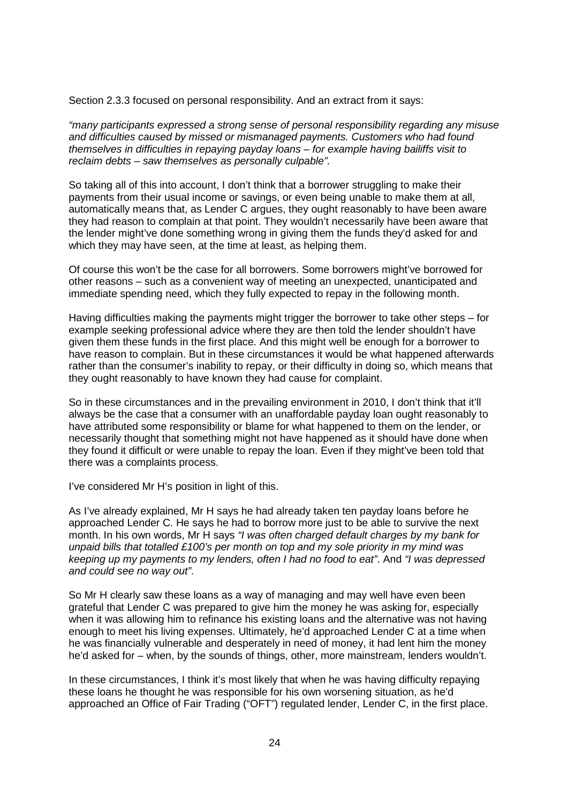Section 2.3.3 focused on personal responsibility. And an extract from it says:

*"many participants expressed a strong sense of personal responsibility regarding any misuse and difficulties caused by missed or mismanaged payments. Customers who had found themselves in difficulties in repaying payday loans – for example having bailiffs visit to reclaim debts – saw themselves as personally culpable".* 

So taking all of this into account, I don't think that a borrower struggling to make their payments from their usual income or savings, or even being unable to make them at all, automatically means that, as Lender C argues, they ought reasonably to have been aware they had reason to complain at that point. They wouldn't necessarily have been aware that the lender might've done something wrong in giving them the funds they'd asked for and which they may have seen, at the time at least, as helping them.

Of course this won't be the case for all borrowers. Some borrowers might've borrowed for other reasons – such as a convenient way of meeting an unexpected, unanticipated and immediate spending need, which they fully expected to repay in the following month.

Having difficulties making the payments might trigger the borrower to take other steps – for example seeking professional advice where they are then told the lender shouldn't have given them these funds in the first place. And this might well be enough for a borrower to have reason to complain. But in these circumstances it would be what happened afterwards rather than the consumer's inability to repay, or their difficulty in doing so, which means that they ought reasonably to have known they had cause for complaint.

So in these circumstances and in the prevailing environment in 2010, I don't think that it'll always be the case that a consumer with an unaffordable payday loan ought reasonably to have attributed some responsibility or blame for what happened to them on the lender, or necessarily thought that something might not have happened as it should have done when they found it difficult or were unable to repay the loan. Even if they might've been told that there was a complaints process.

I've considered Mr H's position in light of this.

As I've already explained, Mr H says he had already taken ten payday loans before he approached Lender C. He says he had to borrow more just to be able to survive the next month. In his own words, Mr H says *"I was often charged default charges by my bank for unpaid bills that totalled £100's per month on top and my sole priority in my mind was keeping up my payments to my lenders, often I had no food to eat"*. And *"I was depressed and could see no way out"*.

So Mr H clearly saw these loans as a way of managing and may well have even been grateful that Lender C was prepared to give him the money he was asking for, especially when it was allowing him to refinance his existing loans and the alternative was not having enough to meet his living expenses. Ultimately, he'd approached Lender C at a time when he was financially vulnerable and desperately in need of money, it had lent him the money he'd asked for – when, by the sounds of things, other, more mainstream, lenders wouldn't.

In these circumstances, I think it's most likely that when he was having difficulty repaying these loans he thought he was responsible for his own worsening situation, as he'd approached an Office of Fair Trading ("OFT") regulated lender, Lender C, in the first place.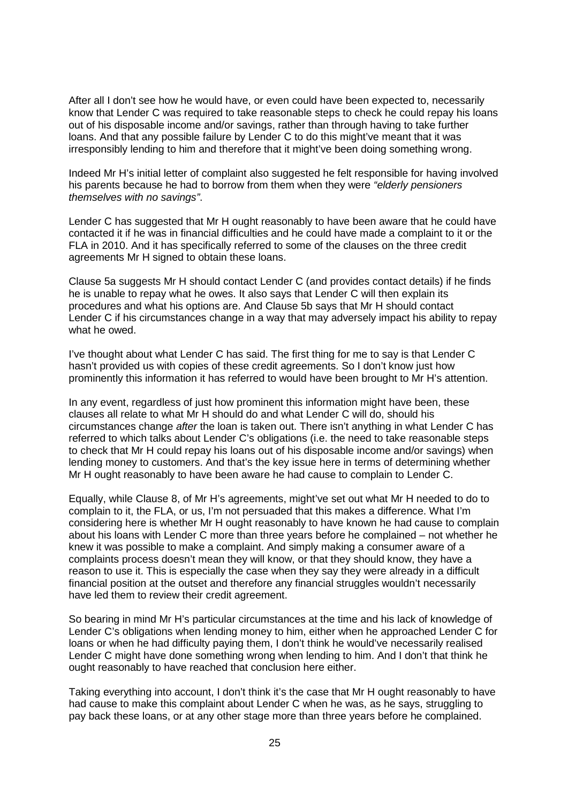After all I don't see how he would have, or even could have been expected to, necessarily know that Lender C was required to take reasonable steps to check he could repay his loans out of his disposable income and/or savings, rather than through having to take further loans. And that any possible failure by Lender C to do this might've meant that it was irresponsibly lending to him and therefore that it might've been doing something wrong.

Indeed Mr H's initial letter of complaint also suggested he felt responsible for having involved his parents because he had to borrow from them when they were *"elderly pensioners themselves with no savings"*.

Lender C has suggested that Mr H ought reasonably to have been aware that he could have contacted it if he was in financial difficulties and he could have made a complaint to it or the FLA in 2010. And it has specifically referred to some of the clauses on the three credit agreements Mr H signed to obtain these loans.

Clause 5a suggests Mr H should contact Lender C (and provides contact details) if he finds he is unable to repay what he owes. It also says that Lender C will then explain its procedures and what his options are. And Clause 5b says that Mr H should contact Lender C if his circumstances change in a way that may adversely impact his ability to repay what he owed.

I've thought about what Lender C has said. The first thing for me to say is that Lender C hasn't provided us with copies of these credit agreements. So I don't know just how prominently this information it has referred to would have been brought to Mr H's attention.

In any event, regardless of just how prominent this information might have been, these clauses all relate to what Mr H should do and what Lender C will do, should his circumstances change *after* the loan is taken out. There isn't anything in what Lender C has referred to which talks about Lender C's obligations (i.e. the need to take reasonable steps to check that Mr H could repay his loans out of his disposable income and/or savings) when lending money to customers. And that's the key issue here in terms of determining whether Mr H ought reasonably to have been aware he had cause to complain to Lender C.

Equally, while Clause 8, of Mr H's agreements, might've set out what Mr H needed to do to complain to it, the FLA, or us, I'm not persuaded that this makes a difference. What I'm considering here is whether Mr H ought reasonably to have known he had cause to complain about his loans with Lender C more than three years before he complained – not whether he knew it was possible to make a complaint. And simply making a consumer aware of a complaints process doesn't mean they will know, or that they should know, they have a reason to use it. This is especially the case when they say they were already in a difficult financial position at the outset and therefore any financial struggles wouldn't necessarily have led them to review their credit agreement.

So bearing in mind Mr H's particular circumstances at the time and his lack of knowledge of Lender C's obligations when lending money to him, either when he approached Lender C for loans or when he had difficulty paying them, I don't think he would've necessarily realised Lender C might have done something wrong when lending to him. And I don't that think he ought reasonably to have reached that conclusion here either.

Taking everything into account, I don't think it's the case that Mr H ought reasonably to have had cause to make this complaint about Lender C when he was, as he says, struggling to pay back these loans, or at any other stage more than three years before he complained.